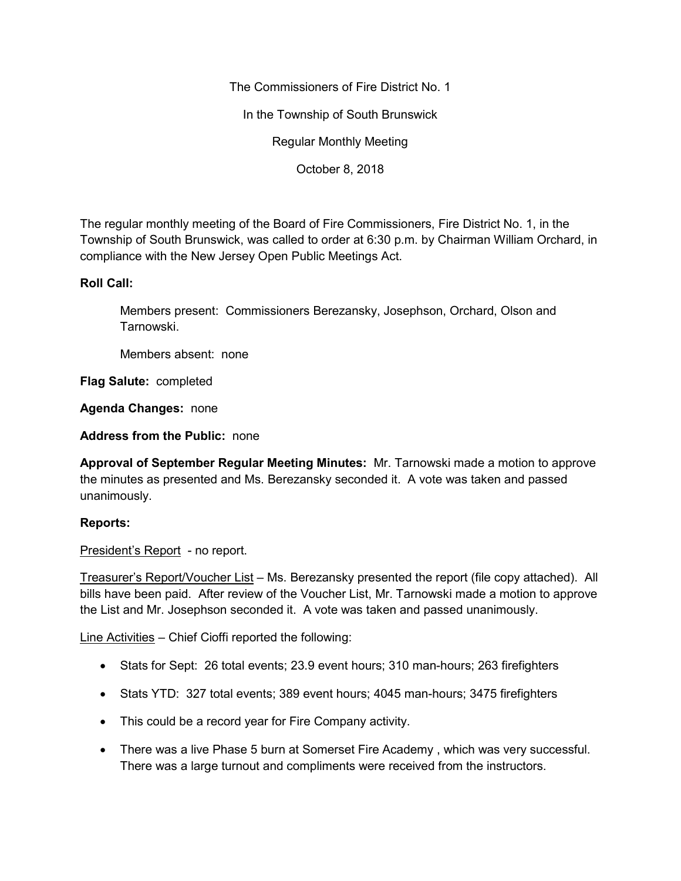The Commissioners of Fire District No. 1

In the Township of South Brunswick

Regular Monthly Meeting

October 8, 2018

The regular monthly meeting of the Board of Fire Commissioners, Fire District No. 1, in the Township of South Brunswick, was called to order at 6:30 p.m. by Chairman William Orchard, in compliance with the New Jersey Open Public Meetings Act.

## **Roll Call:**

Members present: Commissioners Berezansky, Josephson, Orchard, Olson and Tarnowski.

Members absent: none

**Flag Salute:** completed

**Agenda Changes:** none

**Address from the Public:** none

**Approval of September Regular Meeting Minutes:** Mr. Tarnowski made a motion to approve the minutes as presented and Ms. Berezansky seconded it. A vote was taken and passed unanimously.

## **Reports:**

President's Report - no report.

Treasurer's Report/Voucher List – Ms. Berezansky presented the report (file copy attached). All bills have been paid. After review of the Voucher List, Mr. Tarnowski made a motion to approve the List and Mr. Josephson seconded it. A vote was taken and passed unanimously.

Line Activities – Chief Cioffi reported the following:

- Stats for Sept: 26 total events; 23.9 event hours; 310 man-hours; 263 firefighters
- Stats YTD: 327 total events; 389 event hours; 4045 man-hours; 3475 firefighters
- This could be a record year for Fire Company activity.
- There was a live Phase 5 burn at Somerset Fire Academy , which was very successful. There was a large turnout and compliments were received from the instructors.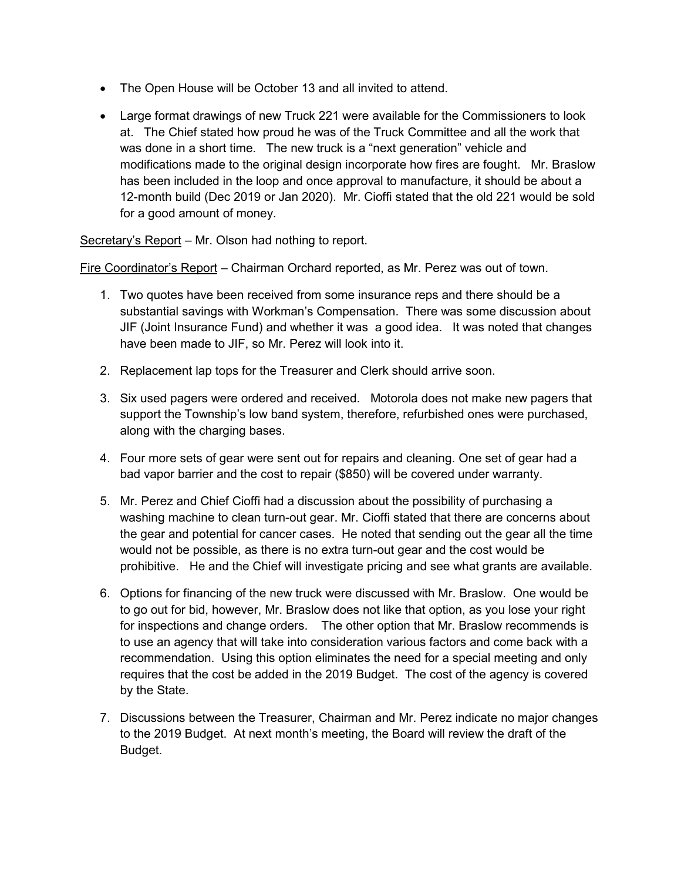- The Open House will be October 13 and all invited to attend.
- Large format drawings of new Truck 221 were available for the Commissioners to look at. The Chief stated how proud he was of the Truck Committee and all the work that was done in a short time. The new truck is a "next generation" vehicle and modifications made to the original design incorporate how fires are fought. Mr. Braslow has been included in the loop and once approval to manufacture, it should be about a 12-month build (Dec 2019 or Jan 2020). Mr. Cioffi stated that the old 221 would be sold for a good amount of money.

Secretary's Report – Mr. Olson had nothing to report.

Fire Coordinator's Report – Chairman Orchard reported, as Mr. Perez was out of town.

- 1. Two quotes have been received from some insurance reps and there should be a substantial savings with Workman's Compensation. There was some discussion about JIF (Joint Insurance Fund) and whether it was a good idea. It was noted that changes have been made to JIF, so Mr. Perez will look into it.
- 2. Replacement lap tops for the Treasurer and Clerk should arrive soon.
- 3. Six used pagers were ordered and received. Motorola does not make new pagers that support the Township's low band system, therefore, refurbished ones were purchased, along with the charging bases.
- 4. Four more sets of gear were sent out for repairs and cleaning. One set of gear had a bad vapor barrier and the cost to repair (\$850) will be covered under warranty.
- 5. Mr. Perez and Chief Cioffi had a discussion about the possibility of purchasing a washing machine to clean turn-out gear. Mr. Cioffi stated that there are concerns about the gear and potential for cancer cases. He noted that sending out the gear all the time would not be possible, as there is no extra turn-out gear and the cost would be prohibitive. He and the Chief will investigate pricing and see what grants are available.
- 6. Options for financing of the new truck were discussed with Mr. Braslow. One would be to go out for bid, however, Mr. Braslow does not like that option, as you lose your right for inspections and change orders. The other option that Mr. Braslow recommends is to use an agency that will take into consideration various factors and come back with a recommendation. Using this option eliminates the need for a special meeting and only requires that the cost be added in the 2019 Budget. The cost of the agency is covered by the State.
- 7. Discussions between the Treasurer, Chairman and Mr. Perez indicate no major changes to the 2019 Budget. At next month's meeting, the Board will review the draft of the Budget.